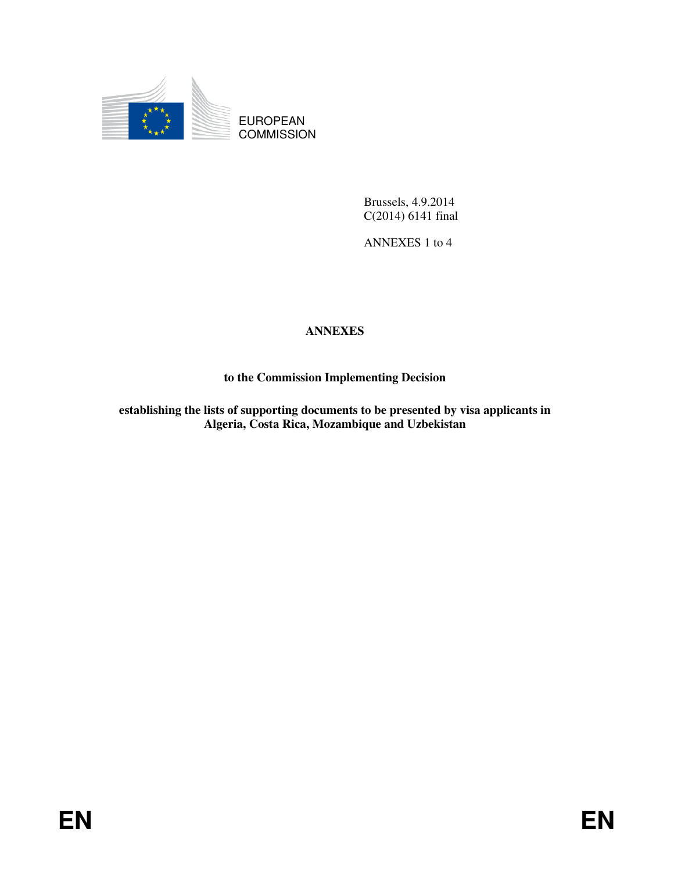

EUROPEAN **COMMISSION** 

> Brussels, 4.9.2014 C(2014) 6141 final

ANNEXES 1 to 4

# **ANNEXES**

## **to the Commission Implementing Decision**

**establishing the lists of supporting documents to be presented by visa applicants in Algeria, Costa Rica, Mozambique and Uzbekistan**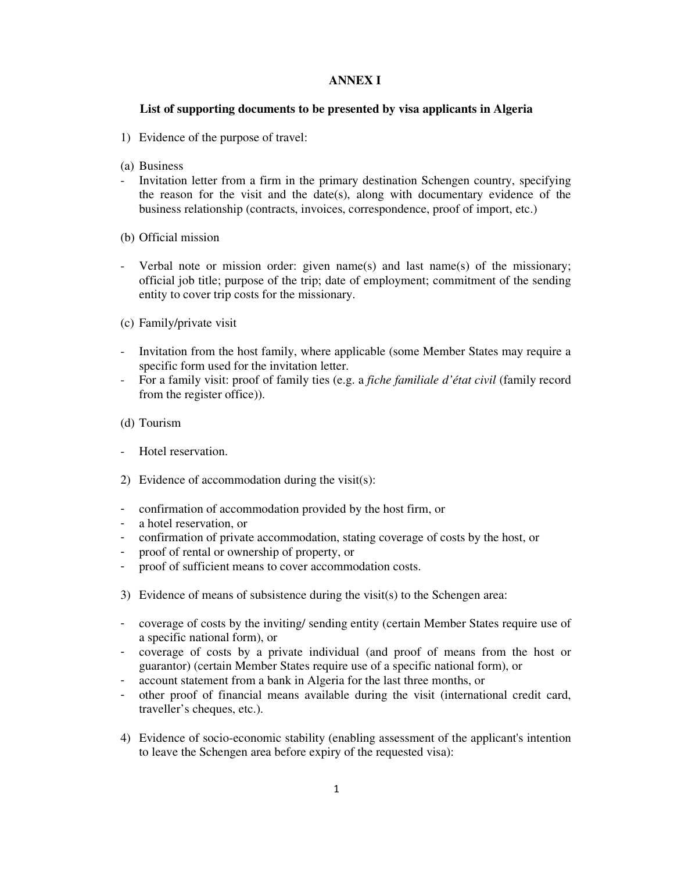### **ANNEX I**

### **List of supporting documents to be presented by visa applicants in Algeria**

- 1) Evidence of the purpose of travel:
- (a) Business
- Invitation letter from a firm in the primary destination Schengen country, specifying the reason for the visit and the date(s), along with documentary evidence of the business relationship (contracts, invoices, correspondence, proof of import, etc.)
- (b) Official mission
- Verbal note or mission order: given name(s) and last name(s) of the missionary; official job title; purpose of the trip; date of employment; commitment of the sending entity to cover trip costs for the missionary.
- (c) Family/private visit
- Invitation from the host family, where applicable (some Member States may require a specific form used for the invitation letter.
- For a family visit: proof of family ties (e.g. a *fiche familiale d'état civil* (family record from the register office)).
- (d) Tourism
- Hotel reservation.
- 2) Evidence of accommodation during the visit(s):
- confirmation of accommodation provided by the host firm, or
- a hotel reservation, or
- confirmation of private accommodation, stating coverage of costs by the host, or
- proof of rental or ownership of property, or
- proof of sufficient means to cover accommodation costs.
- 3) Evidence of means of subsistence during the visit(s) to the Schengen area:
- coverage of costs by the inviting/ sending entity (certain Member States require use of a specific national form), or
- coverage of costs by a private individual (and proof of means from the host or guarantor) (certain Member States require use of a specific national form), or
- account statement from a bank in Algeria for the last three months, or
- other proof of financial means available during the visit (international credit card, traveller's cheques, etc.).
- 4) Evidence of socio-economic stability (enabling assessment of the applicant's intention to leave the Schengen area before expiry of the requested visa):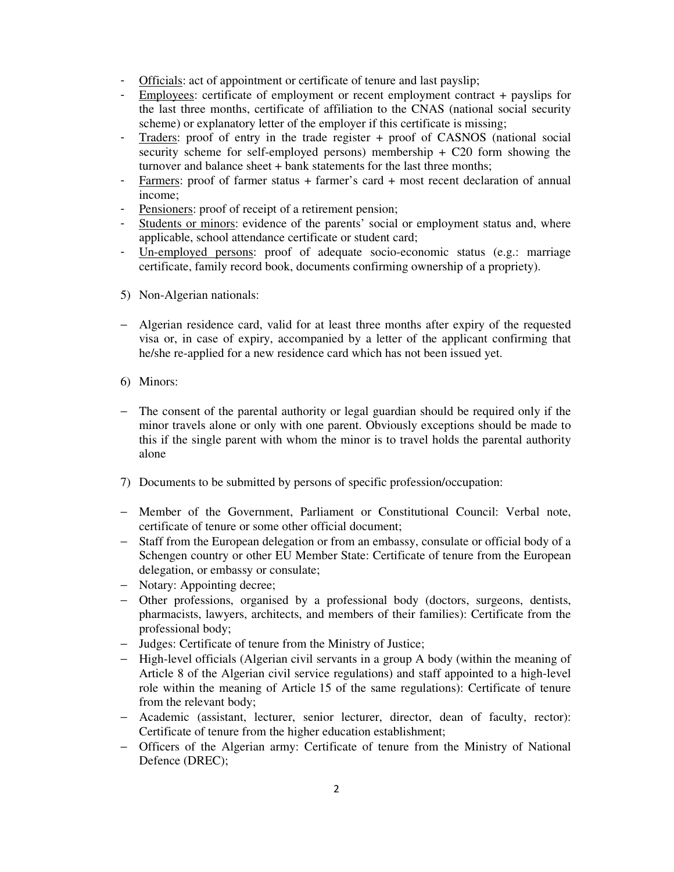- Officials: act of appointment or certificate of tenure and last payslip;
- Employees: certificate of employment or recent employment contract + payslips for the last three months, certificate of affiliation to the CNAS (national social security scheme) or explanatory letter of the employer if this certificate is missing;
- Traders: proof of entry in the trade register + proof of CASNOS (national social security scheme for self-employed persons) membership  $+$  C20 form showing the turnover and balance sheet + bank statements for the last three months;
- Farmers: proof of farmer status + farmer's card + most recent declaration of annual income;
- Pensioners: proof of receipt of a retirement pension;
- Students or minors: evidence of the parents' social or employment status and, where applicable, school attendance certificate or student card;
- Un-employed persons: proof of adequate socio-economic status (e.g.: marriage certificate, family record book, documents confirming ownership of a propriety).
- 5) Non-Algerian nationals:
- − Algerian residence card, valid for at least three months after expiry of the requested visa or, in case of expiry, accompanied by a letter of the applicant confirming that he/she re-applied for a new residence card which has not been issued yet.
- 6) Minors:
- − The consent of the parental authority or legal guardian should be required only if the minor travels alone or only with one parent. Obviously exceptions should be made to this if the single parent with whom the minor is to travel holds the parental authority alone
- 7) Documents to be submitted by persons of specific profession/occupation:
- − Member of the Government, Parliament or Constitutional Council: Verbal note, certificate of tenure or some other official document;
- − Staff from the European delegation or from an embassy, consulate or official body of a Schengen country or other EU Member State: Certificate of tenure from the European delegation, or embassy or consulate;
- − Notary: Appointing decree;
- − Other professions, organised by a professional body (doctors, surgeons, dentists, pharmacists, lawyers, architects, and members of their families): Certificate from the professional body;
- − Judges: Certificate of tenure from the Ministry of Justice;
- − High-level officials (Algerian civil servants in a group A body (within the meaning of Article 8 of the Algerian civil service regulations) and staff appointed to a high-level role within the meaning of Article 15 of the same regulations): Certificate of tenure from the relevant body;
- − Academic (assistant, lecturer, senior lecturer, director, dean of faculty, rector): Certificate of tenure from the higher education establishment;
- − Officers of the Algerian army: Certificate of tenure from the Ministry of National Defence (DREC);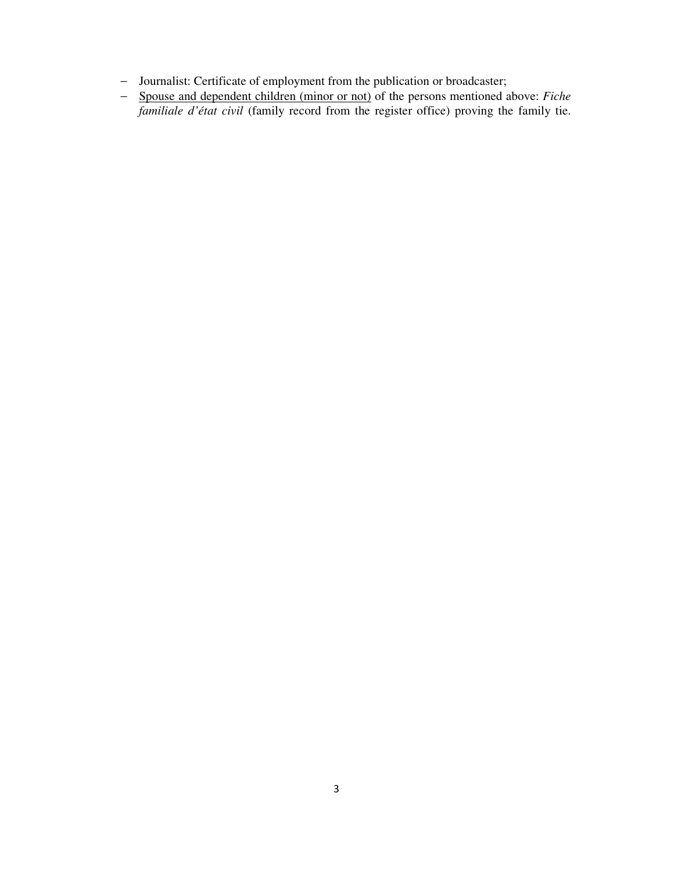- − Journalist: Certificate of employment from the publication or broadcaster;
- − Spouse and dependent children (minor or not) of the persons mentioned above: *Fiche familiale d'état civil* (family record from the register office) proving the family tie.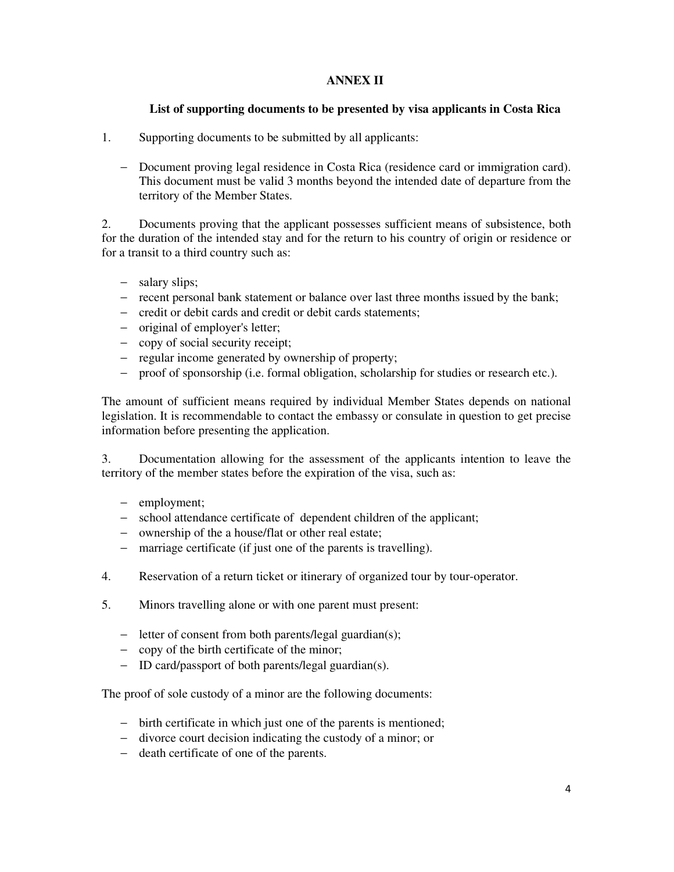### **ANNEX II**

### **List of supporting documents to be presented by visa applicants in Costa Rica**

- 1. Supporting documents to be submitted by all applicants:
	- − Document proving legal residence in Costa Rica (residence card or immigration card). This document must be valid 3 months beyond the intended date of departure from the territory of the Member States.

2. Documents proving that the applicant possesses sufficient means of subsistence, both for the duration of the intended stay and for the return to his country of origin or residence or for a transit to a third country such as:

- − salary slips;
- − recent personal bank statement or balance over last three months issued by the bank;
- − credit or debit cards and credit or debit cards statements;
- − original of employer's letter;
- − copy of social security receipt;
- − regular income generated by ownership of property;
- − proof of sponsorship (i.e. formal obligation, scholarship for studies or research etc.).

The amount of sufficient means required by individual Member States depends on national legislation. It is recommendable to contact the embassy or consulate in question to get precise information before presenting the application.

3. Documentation allowing for the assessment of the applicants intention to leave the territory of the member states before the expiration of the visa, such as:

- − employment;
- − school attendance certificate of dependent children of the applicant;
- − ownership of the a house/flat or other real estate;
- − marriage certificate (if just one of the parents is travelling).
- 4. Reservation of a return ticket or itinerary of organized tour by tour-operator.
- 5. Minors travelling alone or with one parent must present:
	- − letter of consent from both parents/legal guardian(s);
	- − copy of the birth certificate of the minor;
	- − ID card/passport of both parents/legal guardian(s).

The proof of sole custody of a minor are the following documents:

- − birth certificate in which just one of the parents is mentioned;
- − divorce court decision indicating the custody of a minor; or
- − death certificate of one of the parents.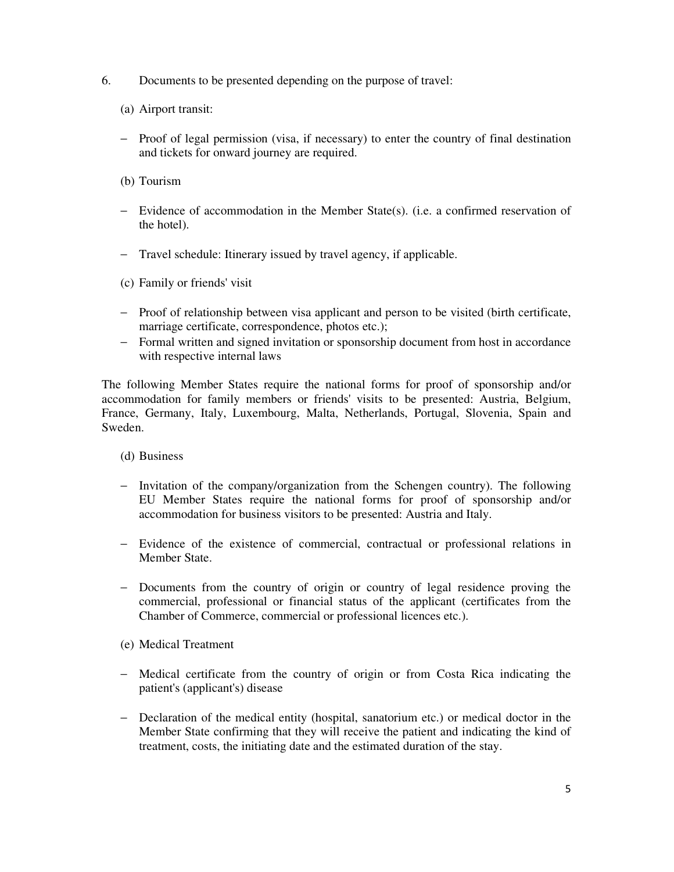- 6. Documents to be presented depending on the purpose of travel:
	- (a) Airport transit:
	- − Proof of legal permission (visa, if necessary) to enter the country of final destination and tickets for onward journey are required.
	- (b) Tourism
	- − Evidence of accommodation in the Member State(s). (i.e. a confirmed reservation of the hotel).
	- − Travel schedule: Itinerary issued by travel agency, if applicable.

(c) Family or friends' visit

- − Proof of relationship between visa applicant and person to be visited (birth certificate, marriage certificate, correspondence, photos etc.);
- − Formal written and signed invitation or sponsorship document from host in accordance with respective internal laws

The following Member States require the national forms for proof of sponsorship and/or accommodation for family members or friends' visits to be presented: Austria, Belgium, France, Germany, Italy, Luxembourg, Malta, Netherlands, Portugal, Slovenia, Spain and Sweden.

- (d) Business
- − Invitation of the company/organization from the Schengen country). The following EU Member States require the national forms for proof of sponsorship and/or accommodation for business visitors to be presented: Austria and Italy.
- − Evidence of the existence of commercial, contractual or professional relations in Member State.
- − Documents from the country of origin or country of legal residence proving the commercial, professional or financial status of the applicant (certificates from the Chamber of Commerce, commercial or professional licences etc.).
- (e) Medical Treatment
- − Medical certificate from the country of origin or from Costa Rica indicating the patient's (applicant's) disease
- − Declaration of the medical entity (hospital, sanatorium etc.) or medical doctor in the Member State confirming that they will receive the patient and indicating the kind of treatment, costs, the initiating date and the estimated duration of the stay.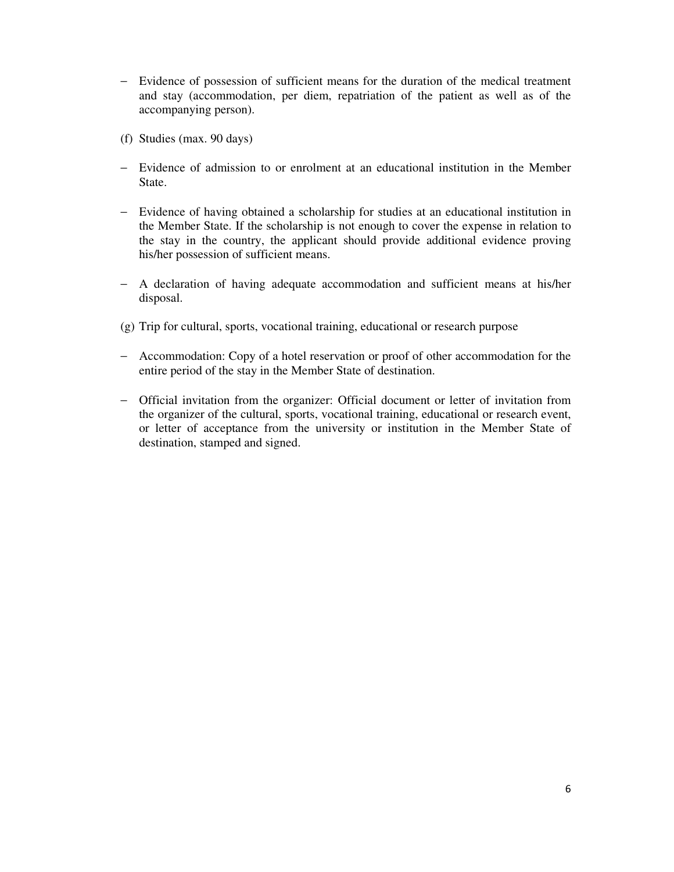- − Evidence of possession of sufficient means for the duration of the medical treatment and stay (accommodation, per diem, repatriation of the patient as well as of the accompanying person).
- (f) Studies (max. 90 days)
- − Evidence of admission to or enrolment at an educational institution in the Member State.
- − Evidence of having obtained a scholarship for studies at an educational institution in the Member State. If the scholarship is not enough to cover the expense in relation to the stay in the country, the applicant should provide additional evidence proving his/her possession of sufficient means.
- − A declaration of having adequate accommodation and sufficient means at his/her disposal.
- (g) Trip for cultural, sports, vocational training, educational or research purpose
- − Accommodation: Copy of a hotel reservation or proof of other accommodation for the entire period of the stay in the Member State of destination.
- − Official invitation from the organizer: Official document or letter of invitation from the organizer of the cultural, sports, vocational training, educational or research event, or letter of acceptance from the university or institution in the Member State of destination, stamped and signed.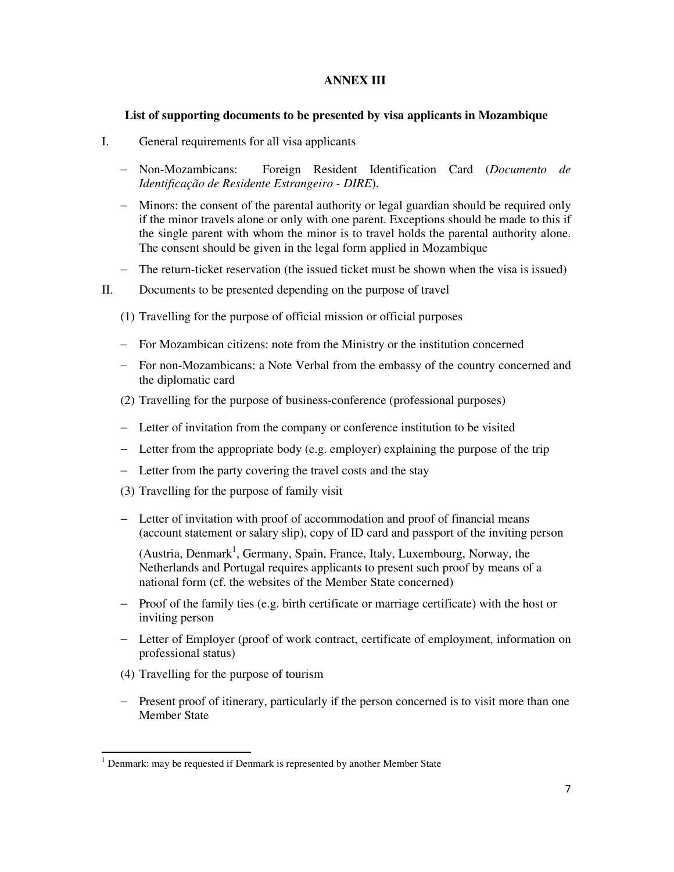### **ANNEX III**

### **List of supporting documents to be presented by visa applicants in Mozambique**

- I. General requirements for all visa applicants
	- − Non-Mozambicans: Foreign Resident Identification Card (*Documento de Identificação de Residente Estrangeiro - DIRE*).
	- − Minors: the consent of the parental authority or legal guardian should be required only if the minor travels alone or only with one parent. Exceptions should be made to this if the single parent with whom the minor is to travel holds the parental authority alone. The consent should be given in the legal form applied in Mozambique
	- − The return-ticket reservation (the issued ticket must be shown when the visa is issued)
- II. Documents to be presented depending on the purpose of travel
	- (1) Travelling for the purpose of official mission or official purposes
	- − For Mozambican citizens: note from the Ministry or the institution concerned
	- − For non-Mozambicans: a Note Verbal from the embassy of the country concerned and the diplomatic card
	- (2) Travelling for the purpose of business-conference (professional purposes)
	- − Letter of invitation from the company or conference institution to be visited
	- − Letter from the appropriate body (e.g. employer) explaining the purpose of the trip
	- − Letter from the party covering the travel costs and the stay
	- (3) Travelling for the purpose of family visit
	- − Letter of invitation with proof of accommodation and proof of financial means (account statement or salary slip), copy of ID card and passport of the inviting person

(Austria, Denmark<sup>1</sup>, Germany, Spain, France, Italy, Luxembourg, Norway, the Netherlands and Portugal requires applicants to present such proof by means of a national form (cf. the websites of the Member State concerned)

- − Proof of the family ties (e.g. birth certificate or marriage certificate) with the host or inviting person
- − Letter of Employer (proof of work contract, certificate of employment, information on professional status)
- (4) Travelling for the purpose of tourism

l,

− Present proof of itinerary, particularly if the person concerned is to visit more than one Member State

<sup>&</sup>lt;sup>1</sup> Denmark: may be requested if Denmark is represented by another Member State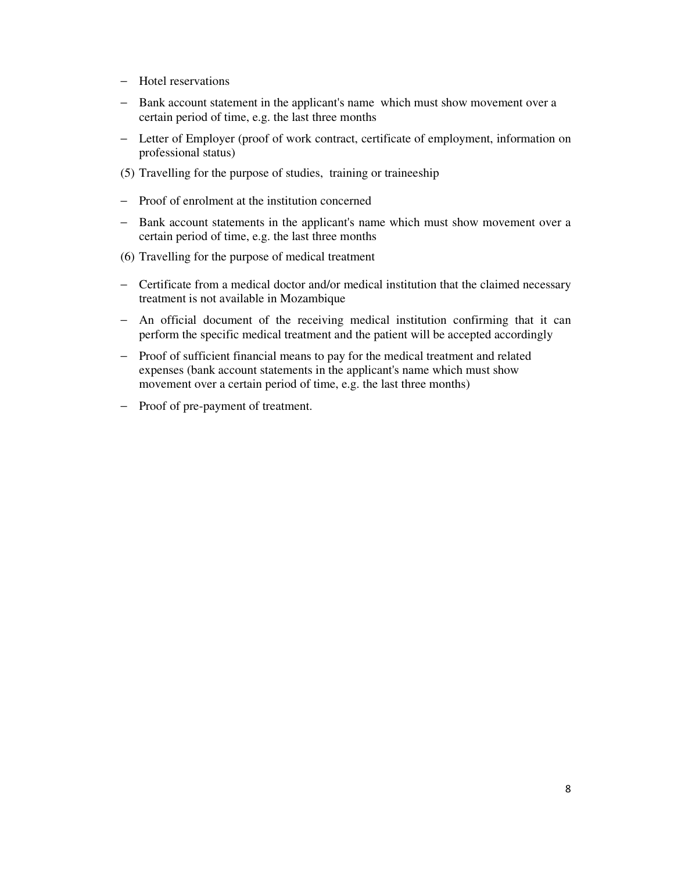- − Hotel reservations
- − Bank account statement in the applicant's name which must show movement over a certain period of time, e.g. the last three months
- − Letter of Employer (proof of work contract, certificate of employment, information on professional status)
- (5) Travelling for the purpose of studies, training or traineeship
- − Proof of enrolment at the institution concerned
- − Bank account statements in the applicant's name which must show movement over a certain period of time, e.g. the last three months
- (6) Travelling for the purpose of medical treatment
- − Certificate from a medical doctor and/or medical institution that the claimed necessary treatment is not available in Mozambique
- − An official document of the receiving medical institution confirming that it can perform the specific medical treatment and the patient will be accepted accordingly
- − Proof of sufficient financial means to pay for the medical treatment and related expenses (bank account statements in the applicant's name which must show movement over a certain period of time, e.g. the last three months)
- − Proof of pre-payment of treatment.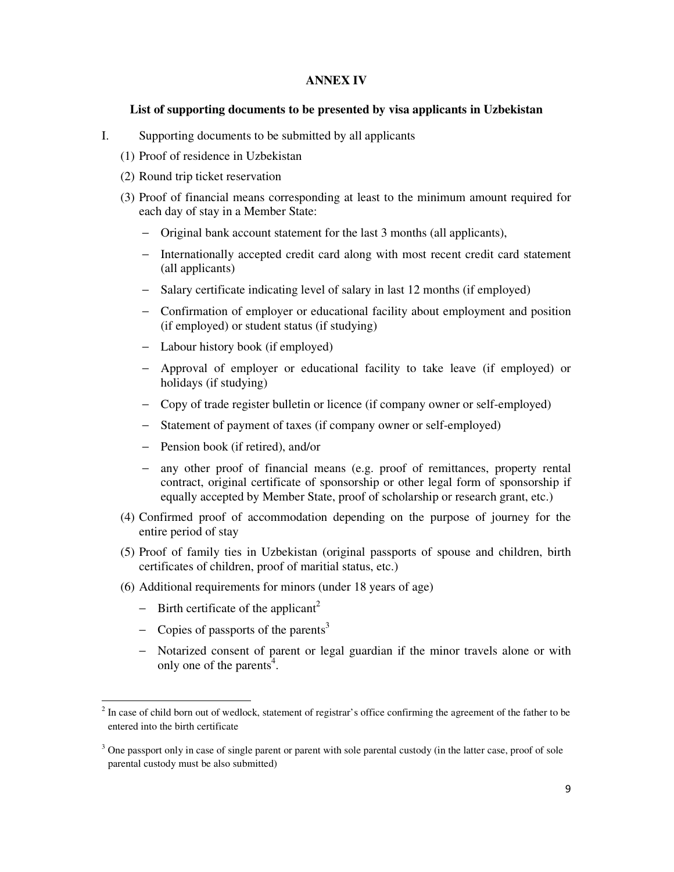### **ANNEX IV**

#### **List of supporting documents to be presented by visa applicants in Uzbekistan**

- I. Supporting documents to be submitted by all applicants
	- (1) Proof of residence in Uzbekistan
	- (2) Round trip ticket reservation
	- (3) Proof of financial means corresponding at least to the minimum amount required for each day of stay in a Member State:
		- − Original bank account statement for the last 3 months (all applicants),
		- − Internationally accepted credit card along with most recent credit card statement (all applicants)
		- − Salary certificate indicating level of salary in last 12 months (if employed)
		- − Confirmation of employer or educational facility about employment and position (if employed) or student status (if studying)
		- − Labour history book (if employed)
		- − Approval of employer or educational facility to take leave (if employed) or holidays (if studying)
		- − Copy of trade register bulletin or licence (if company owner or self-employed)
		- − Statement of payment of taxes (if company owner or self-employed)
		- − Pension book (if retired), and/or
		- any other proof of financial means (e.g. proof of remittances, property rental contract, original certificate of sponsorship or other legal form of sponsorship if equally accepted by Member State, proof of scholarship or research grant, etc.)
	- (4) Confirmed proof of accommodation depending on the purpose of journey for the entire period of stay
	- (5) Proof of family ties in Uzbekistan (original passports of spouse and children, birth certificates of children, proof of maritial status, etc.)
	- (6) Additional requirements for minors (under 18 years of age)
		- $-\quad$  Birth certificate of the applicant<sup>2</sup>

 $\overline{a}$ 

- − Copies of passports of the parents<sup>3</sup>
- − Notarized consent of parent or legal guardian if the minor travels alone or with only one of the parents<sup> $4$ </sup>.

 $2<sup>2</sup>$  In case of child born out of wedlock, statement of registrar's office confirming the agreement of the father to be entered into the birth certificate

<sup>&</sup>lt;sup>3</sup> One passport only in case of single parent or parent with sole parental custody (in the latter case, proof of sole parental custody must be also submitted)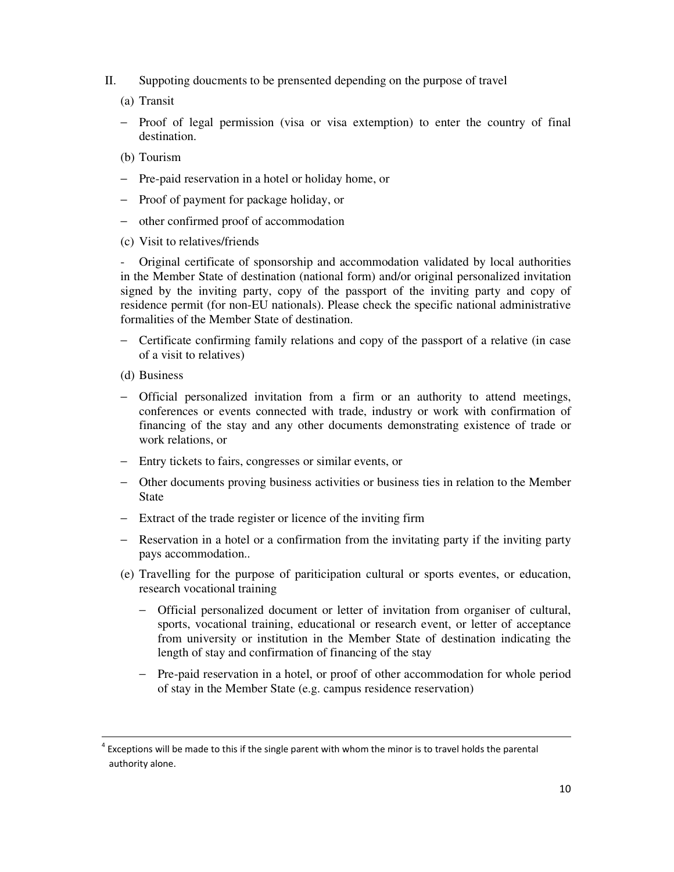- II. Suppoting doucments to be prensented depending on the purpose of travel
	- (a) Transit
	- − Proof of legal permission (visa or visa extemption) to enter the country of final destination.
	- (b) Tourism
	- − Pre-paid reservation in a hotel or holiday home, or
	- − Proof of payment for package holiday, or
	- − other confirmed proof of accommodation
	- (c) Visit to relatives/friends

- Original certificate of sponsorship and accommodation validated by local authorities in the Member State of destination (national form) and/or original personalized invitation signed by the inviting party, copy of the passport of the inviting party and copy of residence permit (for non-EU nationals). Please check the specific national administrative formalities of the Member State of destination.

- − Certificate confirming family relations and copy of the passport of a relative (in case of a visit to relatives)
- (d) Business

1

- − Official personalized invitation from a firm or an authority to attend meetings, conferences or events connected with trade, industry or work with confirmation of financing of the stay and any other documents demonstrating existence of trade or work relations, or
- − Entry tickets to fairs, congresses or similar events, or
- − Other documents proving business activities or business ties in relation to the Member State
- − Extract of the trade register or licence of the inviting firm
- − Reservation in a hotel or a confirmation from the invitating party if the inviting party pays accommodation..
- (e) Travelling for the purpose of pariticipation cultural or sports eventes, or education, research vocational training
	- − Official personalized document or letter of invitation from organiser of cultural, sports, vocational training, educational or research event, or letter of acceptance from university or institution in the Member State of destination indicating the length of stay and confirmation of financing of the stay
	- − Pre-paid reservation in a hotel, or proof of other accommodation for whole period of stay in the Member State (e.g. campus residence reservation)

 $4$  Exceptions will be made to this if the single parent with whom the minor is to travel holds the parental authority alone.